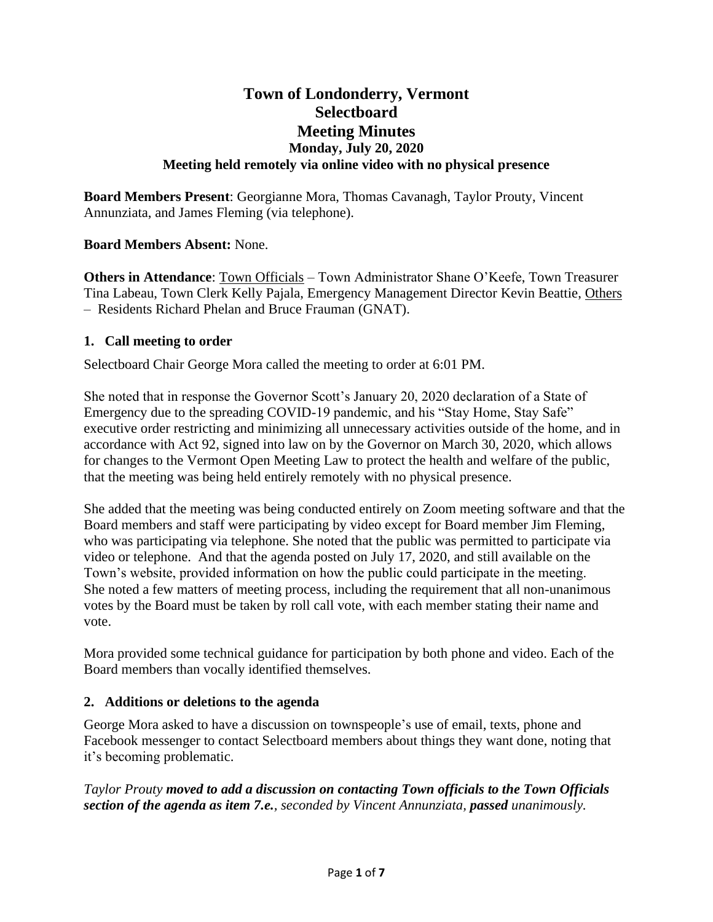# **Town of Londonderry, Vermont Selectboard Meeting Minutes Monday, July 20, 2020 Meeting held remotely via online video with no physical presence**

**Board Members Present**: Georgianne Mora, Thomas Cavanagh, Taylor Prouty, Vincent Annunziata, and James Fleming (via telephone).

# **Board Members Absent:** None.

**Others in Attendance**: Town Officials – Town Administrator Shane O'Keefe, Town Treasurer Tina Labeau, Town Clerk Kelly Pajala, Emergency Management Director Kevin Beattie, Others – Residents Richard Phelan and Bruce Frauman (GNAT).

## **1. Call meeting to order**

Selectboard Chair George Mora called the meeting to order at 6:01 PM.

She noted that in response the Governor Scott's January 20, 2020 declaration of a State of Emergency due to the spreading COVID-19 pandemic, and his "Stay Home, Stay Safe" executive order restricting and minimizing all unnecessary activities outside of the home, and in accordance with Act 92, signed into law on by the Governor on March 30, 2020, which allows for changes to the Vermont Open Meeting Law to protect the health and welfare of the public, that the meeting was being held entirely remotely with no physical presence.

She added that the meeting was being conducted entirely on Zoom meeting software and that the Board members and staff were participating by video except for Board member Jim Fleming, who was participating via telephone. She noted that the public was permitted to participate via video or telephone. And that the agenda posted on July 17, 2020, and still available on the Town's website, provided information on how the public could participate in the meeting. She noted a few matters of meeting process, including the requirement that all non-unanimous votes by the Board must be taken by roll call vote, with each member stating their name and vote.

Mora provided some technical guidance for participation by both phone and video. Each of the Board members than vocally identified themselves.

#### **2. Additions or deletions to the agenda**

George Mora asked to have a discussion on townspeople's use of email, texts, phone and Facebook messenger to contact Selectboard members about things they want done, noting that it's becoming problematic.

*Taylor Prouty moved to add a discussion on contacting Town officials to the Town Officials section of the agenda as item 7.e., seconded by Vincent Annunziata, passed unanimously.*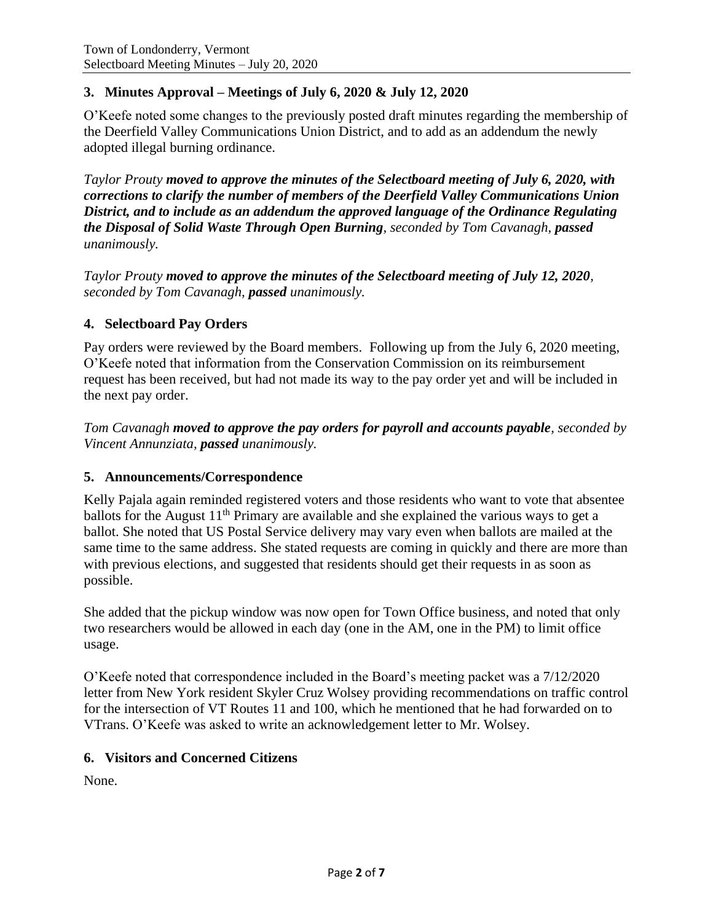# **3. Minutes Approval – Meetings of July 6, 2020 & July 12, 2020**

O'Keefe noted some changes to the previously posted draft minutes regarding the membership of the Deerfield Valley Communications Union District, and to add as an addendum the newly adopted illegal burning ordinance.

*Taylor Prouty moved to approve the minutes of the Selectboard meeting of July 6, 2020, with corrections to clarify the number of members of the Deerfield Valley Communications Union District, and to include as an addendum the approved language of the Ordinance Regulating the Disposal of Solid Waste Through Open Burning, seconded by Tom Cavanagh, passed unanimously.*

*Taylor Prouty moved to approve the minutes of the Selectboard meeting of July 12, 2020, seconded by Tom Cavanagh, passed unanimously.*

## **4. Selectboard Pay Orders**

Pay orders were reviewed by the Board members. Following up from the July 6, 2020 meeting, O'Keefe noted that information from the Conservation Commission on its reimbursement request has been received, but had not made its way to the pay order yet and will be included in the next pay order.

*Tom Cavanagh moved to approve the pay orders for payroll and accounts payable, seconded by Vincent Annunziata, passed unanimously.*

#### **5. Announcements/Correspondence**

Kelly Pajala again reminded registered voters and those residents who want to vote that absentee ballots for the August  $11<sup>th</sup>$  Primary are available and she explained the various ways to get a ballot. She noted that US Postal Service delivery may vary even when ballots are mailed at the same time to the same address. She stated requests are coming in quickly and there are more than with previous elections, and suggested that residents should get their requests in as soon as possible.

She added that the pickup window was now open for Town Office business, and noted that only two researchers would be allowed in each day (one in the AM, one in the PM) to limit office usage.

O'Keefe noted that correspondence included in the Board's meeting packet was a 7/12/2020 letter from New York resident Skyler Cruz Wolsey providing recommendations on traffic control for the intersection of VT Routes 11 and 100, which he mentioned that he had forwarded on to VTrans. O'Keefe was asked to write an acknowledgement letter to Mr. Wolsey.

## **6. Visitors and Concerned Citizens**

None.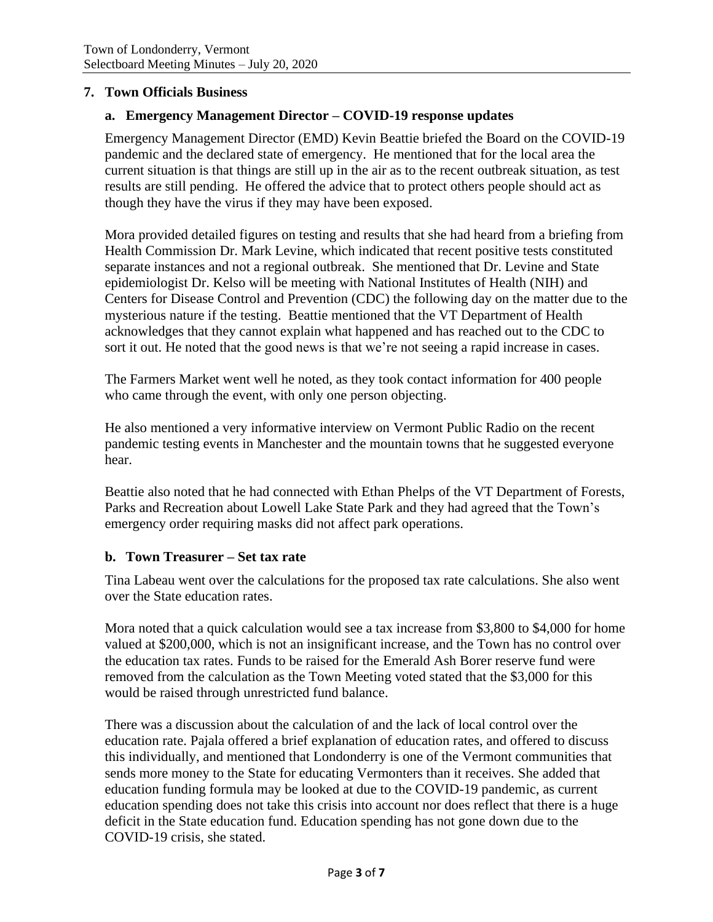## **7. Town Officials Business**

## **a. Emergency Management Director – COVID-19 response updates**

Emergency Management Director (EMD) Kevin Beattie briefed the Board on the COVID-19 pandemic and the declared state of emergency. He mentioned that for the local area the current situation is that things are still up in the air as to the recent outbreak situation, as test results are still pending. He offered the advice that to protect others people should act as though they have the virus if they may have been exposed.

Mora provided detailed figures on testing and results that she had heard from a briefing from Health Commission Dr. Mark Levine, which indicated that recent positive tests constituted separate instances and not a regional outbreak. She mentioned that Dr. Levine and State epidemiologist Dr. Kelso will be meeting with National Institutes of Health (NIH) and Centers for Disease Control and Prevention (CDC) the following day on the matter due to the mysterious nature if the testing. Beattie mentioned that the VT Department of Health acknowledges that they cannot explain what happened and has reached out to the CDC to sort it out. He noted that the good news is that we're not seeing a rapid increase in cases.

The Farmers Market went well he noted, as they took contact information for 400 people who came through the event, with only one person objecting.

He also mentioned a very informative interview on Vermont Public Radio on the recent pandemic testing events in Manchester and the mountain towns that he suggested everyone hear.

Beattie also noted that he had connected with Ethan Phelps of the VT Department of Forests, Parks and Recreation about Lowell Lake State Park and they had agreed that the Town's emergency order requiring masks did not affect park operations.

#### **b. Town Treasurer – Set tax rate**

Tina Labeau went over the calculations for the proposed tax rate calculations. She also went over the State education rates.

Mora noted that a quick calculation would see a tax increase from \$3,800 to \$4,000 for home valued at \$200,000, which is not an insignificant increase, and the Town has no control over the education tax rates. Funds to be raised for the Emerald Ash Borer reserve fund were removed from the calculation as the Town Meeting voted stated that the \$3,000 for this would be raised through unrestricted fund balance.

There was a discussion about the calculation of and the lack of local control over the education rate. Pajala offered a brief explanation of education rates, and offered to discuss this individually, and mentioned that Londonderry is one of the Vermont communities that sends more money to the State for educating Vermonters than it receives. She added that education funding formula may be looked at due to the COVID-19 pandemic, as current education spending does not take this crisis into account nor does reflect that there is a huge deficit in the State education fund. Education spending has not gone down due to the COVID-19 crisis, she stated.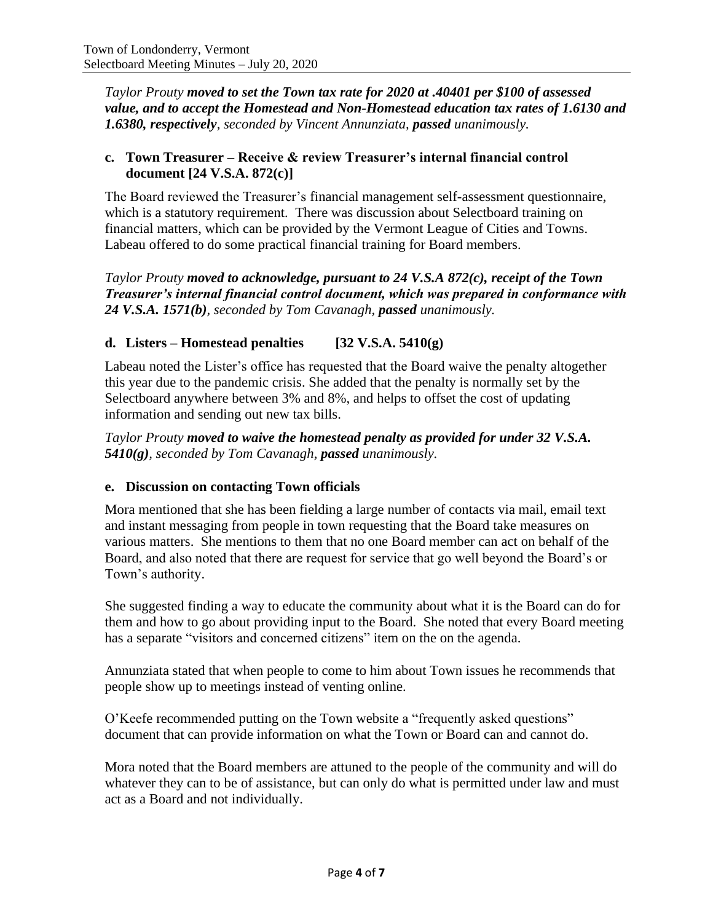*Taylor Prouty moved to set the Town tax rate for 2020 at .40401 per \$100 of assessed value, and to accept the Homestead and Non-Homestead education tax rates of 1.6130 and 1.6380, respectively, seconded by Vincent Annunziata, passed unanimously.*

## **c. Town Treasurer – Receive & review Treasurer's internal financial control document [24 V.S.A. 872(c)]**

The Board reviewed the Treasurer's financial management self-assessment questionnaire, which is a statutory requirement. There was discussion about Selectboard training on financial matters, which can be provided by the Vermont League of Cities and Towns. Labeau offered to do some practical financial training for Board members.

*Taylor Prouty moved to acknowledge, pursuant to 24 V.S.A 872(c), receipt of the Town Treasurer's internal financial control document, which was prepared in conformance with 24 V.S.A. 1571(b), seconded by Tom Cavanagh, passed unanimously.*

# **d. Listers – Homestead penalties [32 V.S.A. 5410(g)**

Labeau noted the Lister's office has requested that the Board waive the penalty altogether this year due to the pandemic crisis. She added that the penalty is normally set by the Selectboard anywhere between 3% and 8%, and helps to offset the cost of updating information and sending out new tax bills.

*Taylor Prouty moved to waive the homestead penalty as provided for under 32 V.S.A. 5410(g), seconded by Tom Cavanagh, passed unanimously.*

# **e. Discussion on contacting Town officials**

Mora mentioned that she has been fielding a large number of contacts via mail, email text and instant messaging from people in town requesting that the Board take measures on various matters. She mentions to them that no one Board member can act on behalf of the Board, and also noted that there are request for service that go well beyond the Board's or Town's authority.

She suggested finding a way to educate the community about what it is the Board can do for them and how to go about providing input to the Board. She noted that every Board meeting has a separate "visitors and concerned citizens" item on the on the agenda.

Annunziata stated that when people to come to him about Town issues he recommends that people show up to meetings instead of venting online.

O'Keefe recommended putting on the Town website a "frequently asked questions" document that can provide information on what the Town or Board can and cannot do.

Mora noted that the Board members are attuned to the people of the community and will do whatever they can to be of assistance, but can only do what is permitted under law and must act as a Board and not individually.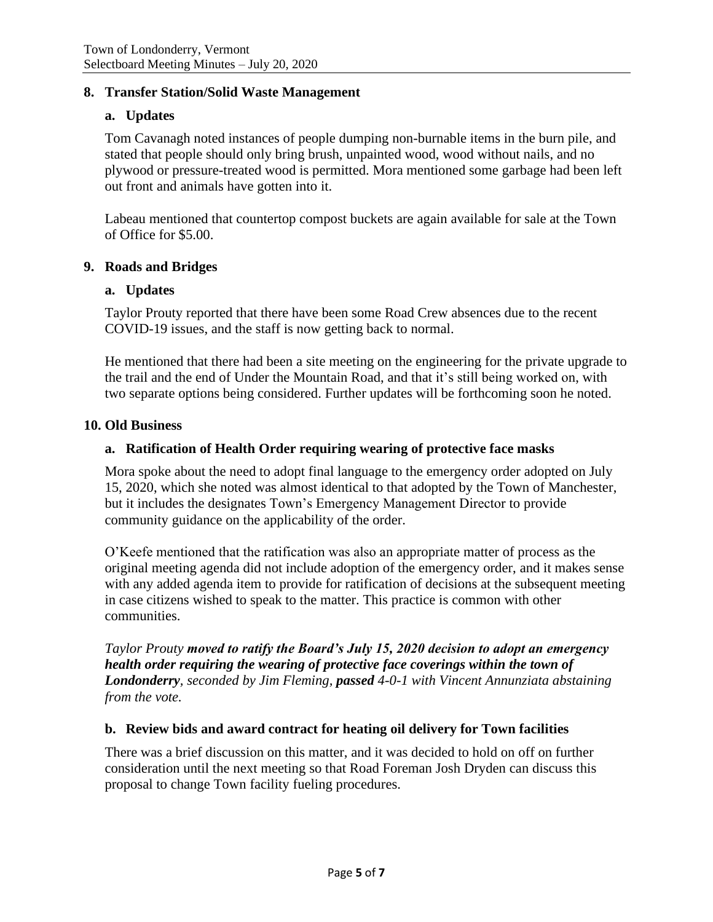## **8. Transfer Station/Solid Waste Management**

#### **a. Updates**

Tom Cavanagh noted instances of people dumping non-burnable items in the burn pile, and stated that people should only bring brush, unpainted wood, wood without nails, and no plywood or pressure-treated wood is permitted. Mora mentioned some garbage had been left out front and animals have gotten into it.

Labeau mentioned that countertop compost buckets are again available for sale at the Town of Office for \$5.00.

#### **9. Roads and Bridges**

#### **a. Updates**

Taylor Prouty reported that there have been some Road Crew absences due to the recent COVID-19 issues, and the staff is now getting back to normal.

He mentioned that there had been a site meeting on the engineering for the private upgrade to the trail and the end of Under the Mountain Road, and that it's still being worked on, with two separate options being considered. Further updates will be forthcoming soon he noted.

#### **10. Old Business**

#### **a. Ratification of Health Order requiring wearing of protective face masks**

Mora spoke about the need to adopt final language to the emergency order adopted on July 15, 2020, which she noted was almost identical to that adopted by the Town of Manchester, but it includes the designates Town's Emergency Management Director to provide community guidance on the applicability of the order.

O'Keefe mentioned that the ratification was also an appropriate matter of process as the original meeting agenda did not include adoption of the emergency order, and it makes sense with any added agenda item to provide for ratification of decisions at the subsequent meeting in case citizens wished to speak to the matter. This practice is common with other communities.

*Taylor Prouty moved to ratify the Board's July 15, 2020 decision to adopt an emergency health order requiring the wearing of protective face coverings within the town of Londonderry, seconded by Jim Fleming, passed 4-0-1 with Vincent Annunziata abstaining from the vote.*

#### **b. Review bids and award contract for heating oil delivery for Town facilities**

There was a brief discussion on this matter, and it was decided to hold on off on further consideration until the next meeting so that Road Foreman Josh Dryden can discuss this proposal to change Town facility fueling procedures.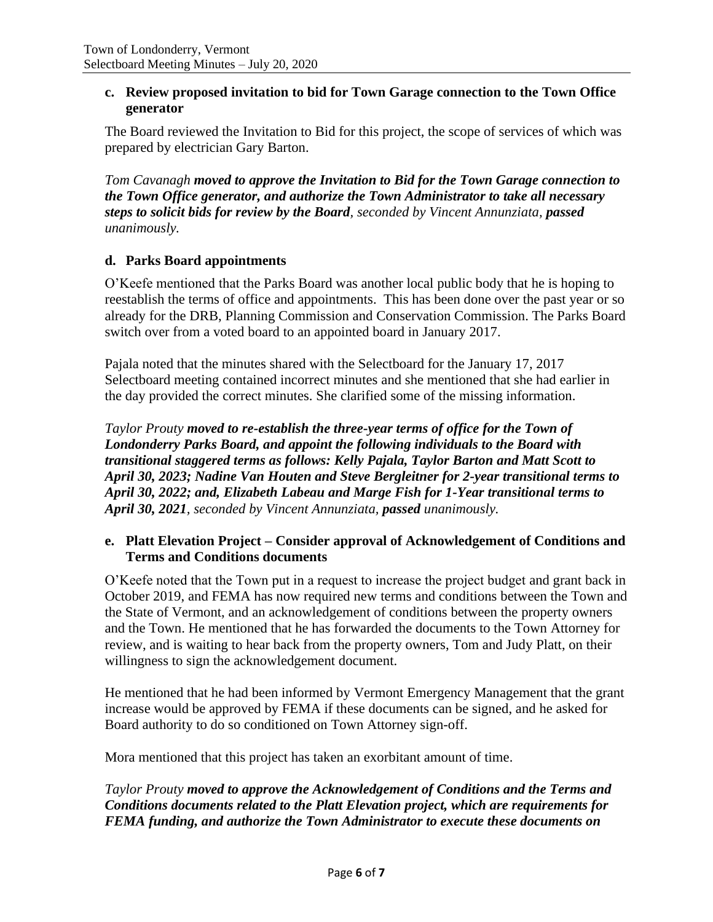### **c. Review proposed invitation to bid for Town Garage connection to the Town Office generator**

The Board reviewed the Invitation to Bid for this project, the scope of services of which was prepared by electrician Gary Barton.

*Tom Cavanagh moved to approve the Invitation to Bid for the Town Garage connection to the Town Office generator, and authorize the Town Administrator to take all necessary steps to solicit bids for review by the Board, seconded by Vincent Annunziata, passed unanimously.*

# **d. Parks Board appointments**

O'Keefe mentioned that the Parks Board was another local public body that he is hoping to reestablish the terms of office and appointments. This has been done over the past year or so already for the DRB, Planning Commission and Conservation Commission. The Parks Board switch over from a voted board to an appointed board in January 2017.

Pajala noted that the minutes shared with the Selectboard for the January 17, 2017 Selectboard meeting contained incorrect minutes and she mentioned that she had earlier in the day provided the correct minutes. She clarified some of the missing information.

*Taylor Prouty moved to re-establish the three-year terms of office for the Town of Londonderry Parks Board, and appoint the following individuals to the Board with transitional staggered terms as follows: Kelly Pajala, Taylor Barton and Matt Scott to April 30, 2023; Nadine Van Houten and Steve Bergleitner for 2-year transitional terms to April 30, 2022; and, Elizabeth Labeau and Marge Fish for 1-Year transitional terms to April 30, 2021, seconded by Vincent Annunziata, passed unanimously.*

## **e. Platt Elevation Project – Consider approval of Acknowledgement of Conditions and Terms and Conditions documents**

O'Keefe noted that the Town put in a request to increase the project budget and grant back in October 2019, and FEMA has now required new terms and conditions between the Town and the State of Vermont, and an acknowledgement of conditions between the property owners and the Town. He mentioned that he has forwarded the documents to the Town Attorney for review, and is waiting to hear back from the property owners, Tom and Judy Platt, on their willingness to sign the acknowledgement document.

He mentioned that he had been informed by Vermont Emergency Management that the grant increase would be approved by FEMA if these documents can be signed, and he asked for Board authority to do so conditioned on Town Attorney sign-off.

Mora mentioned that this project has taken an exorbitant amount of time.

*Taylor Prouty moved to approve the Acknowledgement of Conditions and the Terms and Conditions documents related to the Platt Elevation project, which are requirements for FEMA funding, and authorize the Town Administrator to execute these documents on*